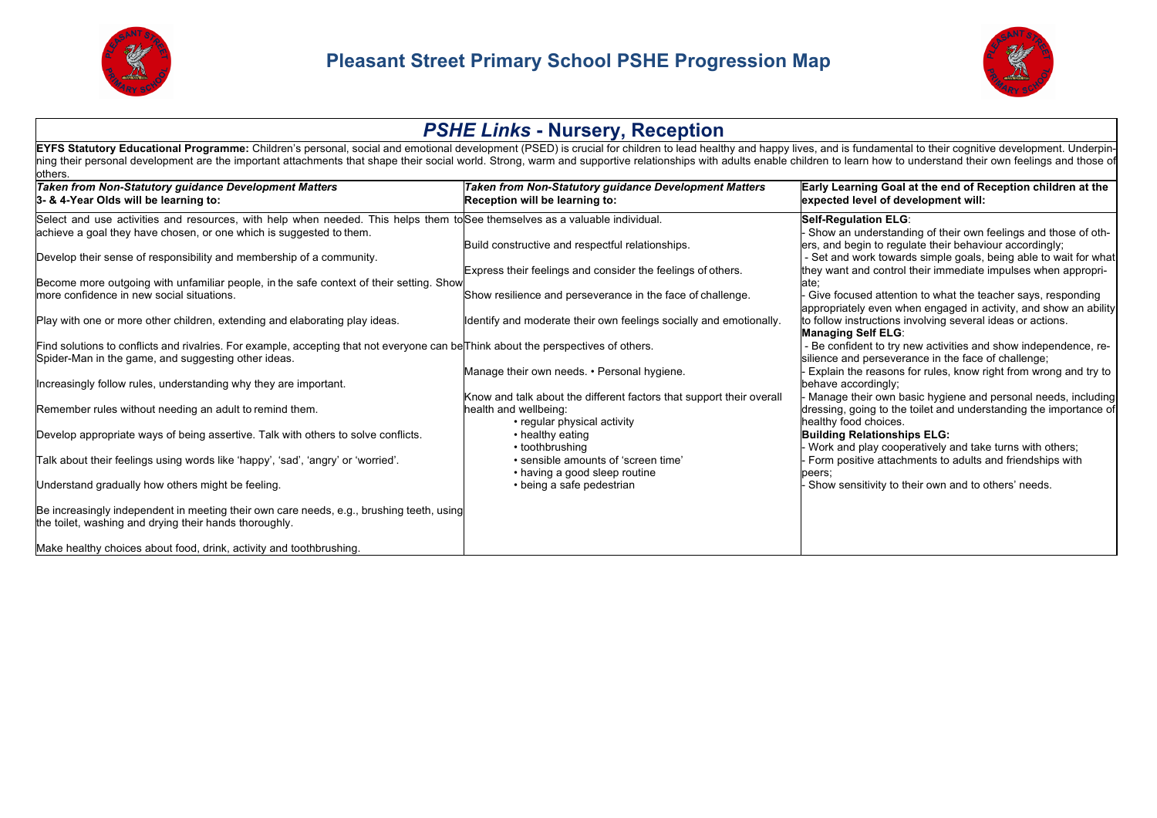



## *PSHE Links* **- Nursery, Reception** EYFS Statutory Educational Programme: Children's personal, social and emotional development (PSED) is crucial for children to lead healthy and happy lives, and is fundamental to their cognitive development. Underpinning their personal development are the important attachments that shape their social world. Strong, warm and supportive relationships with adults enable children to learn how to understand their own feelings and those of others. *Taken from Non-Statutory guidance Development Matters* **3- & 4-Year Olds will be learning to:** *Taken from Non-Statutory guidance Development Matters* **Reception will be learning to: Early Learning Goal at the end of Reception children at the expected level of development will:** Select and use activities and resources, with help when needed. This helps them to See themselves as a valuable individual. achieve a goal they have chosen, or one which is suggested to them. Develop their sense of responsibility and membership of a community. Become more outgoing with unfamiliar people, in the safe context of their setting. Show more confidence in new social situations. Play with one or more other children, extending and elaborating play ideas. Find solutions to conflicts and rivalries. For example, accepting that not everyone can be Think about the perspectives of others. Spider-Man in the game, and suggesting other ideas. Increasingly follow rules, understanding why they are important. Remember rules without needing an adult to remind them. Develop appropriate ways of being assertive. Talk with others to solve conflicts. Talk about their feelings using words like 'happy', 'sad', 'angry' or 'worried'. Understand gradually how others might be feeling. Be increasingly independent in meeting their own care needs, e.g., brushing teeth, using the toilet, washing and drying their hands thoroughly. Make healthy choices about food, drink, activity and toothbrushing. Build constructive and respectful relationships. Express their feelings and consider the feelings of others. Show resilience and perseverance in the face of challenge. Identify and moderate their own feelings socially and emotionally. Manage their own needs. • Personal hygiene. Know and talk about the different factors that support their overall health and wellbeing: • regular physical activity • healthy eating • toothbrushing • sensible amounts of 'screen time' • having a good sleep routine • being a safe pedestrian **Self-Regulation ELG**: - Show an understanding of their own feelings and those of others, and begin to regulate their behaviour accordingly; - Set and work towards simple goals, being able to wait for what they want and control their immediate impulses when appropriate; - Give focused attention to what the teacher says, responding appropriately even when engaged in activity, and show an ability to follow instructions involving several ideas or actions. **Managing Self ELG**: - Be confident to try new activities and show independence, resilience and perseverance in the face of challenge; - Explain the reasons for rules, know right from wrong and try to behave accordingly; - Manage their own basic hygiene and personal needs, including dressing, going to the toilet and understanding the importance of healthy food choices. **Building Relationships ELG:** - Work and play cooperatively and take turns with others; - Form positive attachments to adults and friendships with peers; - Show sensitivity to their own and to others' needs.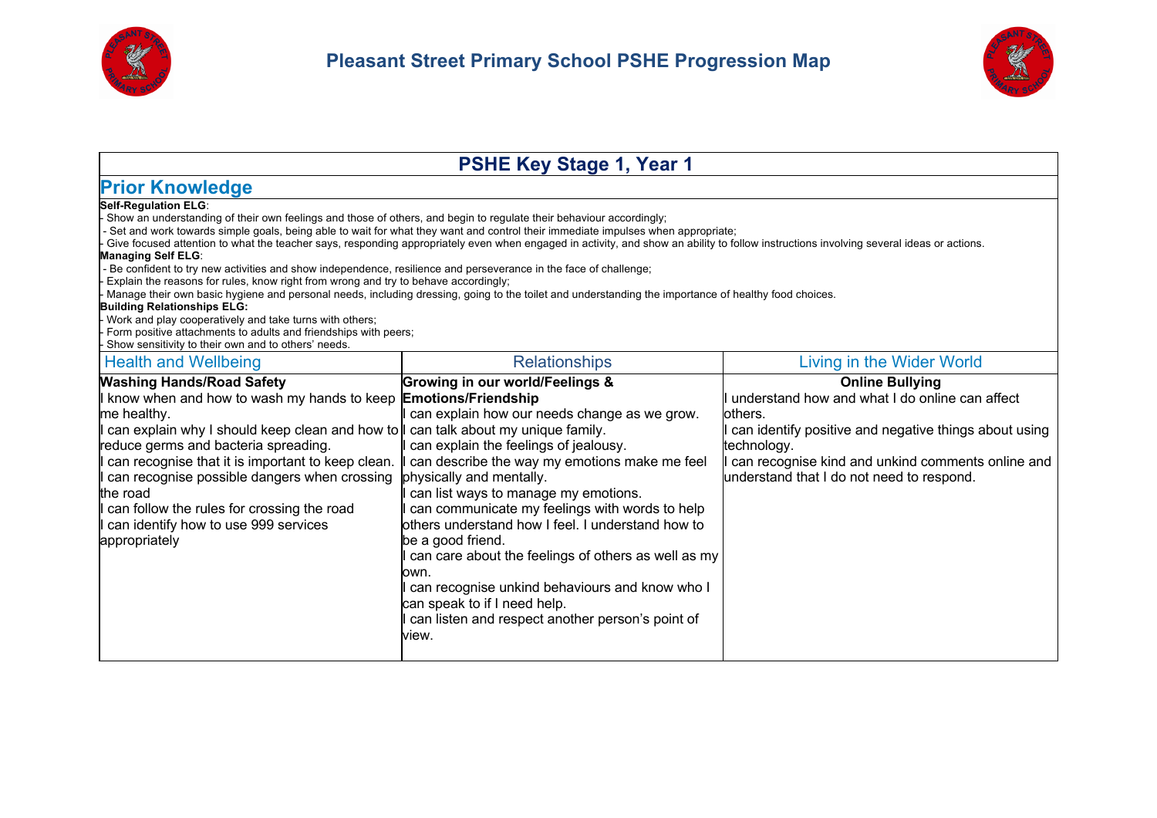



| <b>PSHE Key Stage 1, Year 1</b>                                                                                                                                                                                                                                                                                                                                                                                                                                                                                                                                                                                                                                                                                                                                                                                                                                                                                                                                                                                                                                                                     |                                                                                                                                                                                                                                                                                                                                                                                                                                                                                                                                                                                                    |                                                                                                                                                                                                                                                                |
|-----------------------------------------------------------------------------------------------------------------------------------------------------------------------------------------------------------------------------------------------------------------------------------------------------------------------------------------------------------------------------------------------------------------------------------------------------------------------------------------------------------------------------------------------------------------------------------------------------------------------------------------------------------------------------------------------------------------------------------------------------------------------------------------------------------------------------------------------------------------------------------------------------------------------------------------------------------------------------------------------------------------------------------------------------------------------------------------------------|----------------------------------------------------------------------------------------------------------------------------------------------------------------------------------------------------------------------------------------------------------------------------------------------------------------------------------------------------------------------------------------------------------------------------------------------------------------------------------------------------------------------------------------------------------------------------------------------------|----------------------------------------------------------------------------------------------------------------------------------------------------------------------------------------------------------------------------------------------------------------|
| <b>Prior Knowledge</b>                                                                                                                                                                                                                                                                                                                                                                                                                                                                                                                                                                                                                                                                                                                                                                                                                                                                                                                                                                                                                                                                              |                                                                                                                                                                                                                                                                                                                                                                                                                                                                                                                                                                                                    |                                                                                                                                                                                                                                                                |
| Self-Requlation ELG:<br>Show an understanding of their own feelings and those of others, and begin to regulate their behaviour accordingly;<br>Set and work towards simple goals, being able to wait for what they want and control their immediate impulses when appropriate;<br>Give focused attention to what the teacher says, responding appropriately even when engaged in activity, and show an ability to follow instructions involving several ideas or actions.<br><b>Managing Self ELG:</b><br>Be confident to try new activities and show independence, resilience and perseverance in the face of challenge;<br>Explain the reasons for rules, know right from wrong and try to behave accordingly;<br>Manage their own basic hygiene and personal needs, including dressing, going to the toilet and understanding the importance of healthy food choices.<br><b>Building Relationships ELG:</b><br>Work and play cooperatively and take turns with others;<br>Form positive attachments to adults and friendships with peers;<br>Show sensitivity to their own and to others' needs. |                                                                                                                                                                                                                                                                                                                                                                                                                                                                                                                                                                                                    |                                                                                                                                                                                                                                                                |
| <b>Health and Wellbeing</b>                                                                                                                                                                                                                                                                                                                                                                                                                                                                                                                                                                                                                                                                                                                                                                                                                                                                                                                                                                                                                                                                         | <b>Relationships</b>                                                                                                                                                                                                                                                                                                                                                                                                                                                                                                                                                                               | Living in the Wider World                                                                                                                                                                                                                                      |
| <b>Washing Hands/Road Safety</b><br>know when and how to wash my hands to keep <b>Emotions/Friendship</b><br>me healthy.<br>can explain why I should keep clean and how to I can talk about my unique family.<br>reduce germs and bacteria spreading.<br>can recognise that it is important to keep clean.<br>can recognise possible dangers when crossing<br>the road<br>can follow the rules for crossing the road<br>can identify how to use 999 services<br>appropriately                                                                                                                                                                                                                                                                                                                                                                                                                                                                                                                                                                                                                       | <b>Growing in our world/Feelings &amp;</b><br>can explain how our needs change as we grow.<br>can explain the feelings of jealousy.<br>can describe the way my emotions make me feel<br>physically and mentally.<br>can list ways to manage my emotions.<br>can communicate my feelings with words to help<br>others understand how I feel. I understand how to<br>be a good friend.<br>can care about the feelings of others as well as my<br>own.<br>can recognise unkind behaviours and know who I<br>can speak to if I need help.<br>can listen and respect another person's point of<br>view. | <b>Online Bullying</b><br>understand how and what I do online can affect<br>lothers.<br>can identify positive and negative things about using<br>technology.<br>can recognise kind and unkind comments online and<br>understand that I do not need to respond. |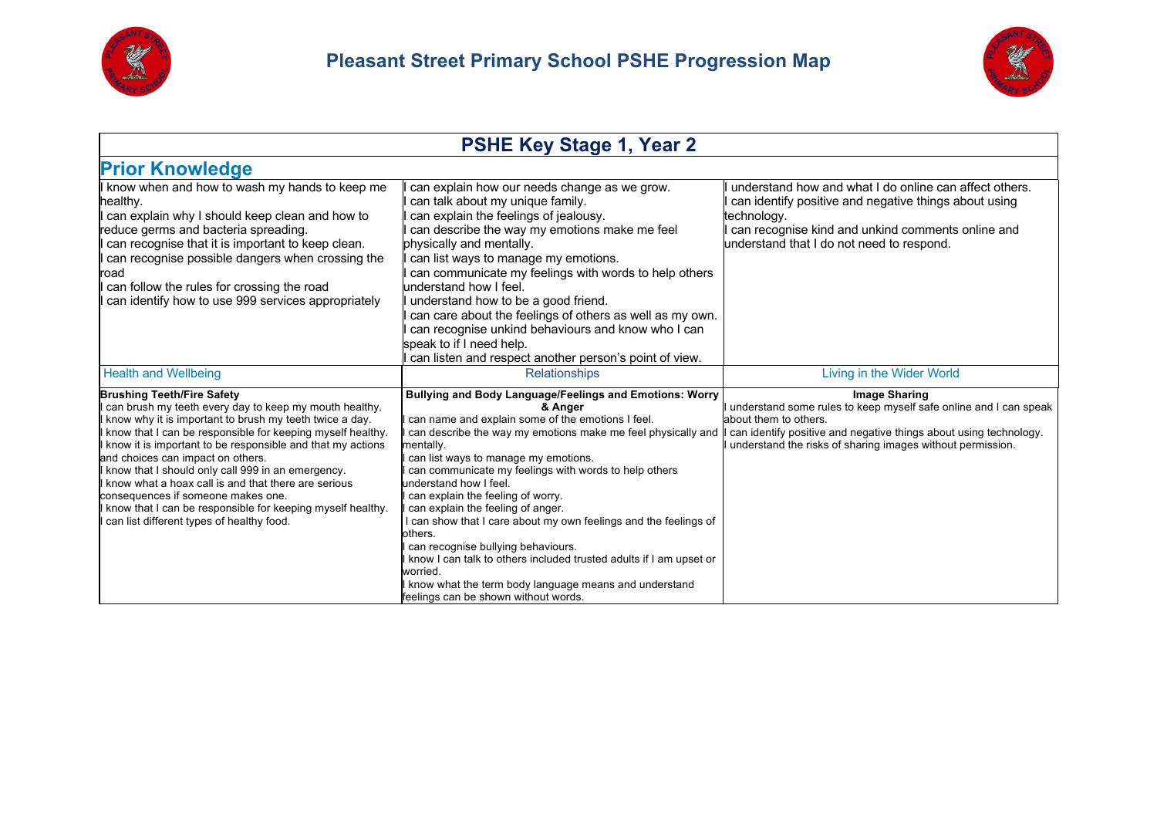



| <b>PSHE Key Stage 1, Year 2</b>                                                                                                                                                                                                                                                                                                                                                                                                                                                                                                                                                      |                                                                                                                                                                                                                                                                                                                                                                                                                                                                                                                                                                                                                                                                                                                                  |                                                                                                                                                                                                                                                      |
|--------------------------------------------------------------------------------------------------------------------------------------------------------------------------------------------------------------------------------------------------------------------------------------------------------------------------------------------------------------------------------------------------------------------------------------------------------------------------------------------------------------------------------------------------------------------------------------|----------------------------------------------------------------------------------------------------------------------------------------------------------------------------------------------------------------------------------------------------------------------------------------------------------------------------------------------------------------------------------------------------------------------------------------------------------------------------------------------------------------------------------------------------------------------------------------------------------------------------------------------------------------------------------------------------------------------------------|------------------------------------------------------------------------------------------------------------------------------------------------------------------------------------------------------------------------------------------------------|
| <b>Prior Knowledge</b>                                                                                                                                                                                                                                                                                                                                                                                                                                                                                                                                                               |                                                                                                                                                                                                                                                                                                                                                                                                                                                                                                                                                                                                                                                                                                                                  |                                                                                                                                                                                                                                                      |
| know when and how to wash my hands to keep me<br>healthy.<br>can explain why I should keep clean and how to<br>reduce germs and bacteria spreading.<br>can recognise that it is important to keep clean.<br>can recognise possible dangers when crossing the<br>road<br>can follow the rules for crossing the road<br>can identify how to use 999 services appropriately                                                                                                                                                                                                             | can explain how our needs change as we grow.<br>can talk about my unique family.<br>can explain the feelings of jealousy.<br>can describe the way my emotions make me feel<br>physically and mentally.<br>can list ways to manage my emotions.<br>can communicate my feelings with words to help others<br>understand how I feel.<br>understand how to be a good friend.<br>can care about the feelings of others as well as my own.<br>can recognise unkind behaviours and know who I can<br>speak to if I need help.<br>can listen and respect another person's point of view.                                                                                                                                                 | understand how and what I do online can affect others.<br>can identify positive and negative things about using<br>technology.<br>can recognise kind and unkind comments online and<br>understand that I do not need to respond.                     |
| <b>Health and Wellbeing</b>                                                                                                                                                                                                                                                                                                                                                                                                                                                                                                                                                          | <b>Relationships</b>                                                                                                                                                                                                                                                                                                                                                                                                                                                                                                                                                                                                                                                                                                             | Living in the Wider World                                                                                                                                                                                                                            |
| <b>Brushing Teeth/Fire Safety</b><br>can brush my teeth every day to keep my mouth healthy.<br>know why it is important to brush my teeth twice a day.<br>know that I can be responsible for keeping myself healthy.<br>know it is important to be responsible and that my actions<br>and choices can impact on others.<br>know that I should only call 999 in an emergency.<br>know what a hoax call is and that there are serious<br>consequences if someone makes one.<br>know that I can be responsible for keeping myself healthy.<br>can list different types of healthy food. | <b>Bullying and Body Language/Feelings and Emotions: Worry</b><br>& Anger<br>can name and explain some of the emotions I feel.<br>can describe the way my emotions make me feel physically and<br>mentally.<br>can list ways to manage my emotions.<br>can communicate my feelings with words to help others<br>understand how I feel.<br>I can explain the feeling of worry.<br>can explain the feeling of anger.<br>I can show that I care about my own feelings and the feelings of<br>others.<br>I can recognise bullying behaviours.<br>I know I can talk to others included trusted adults if I am upset or<br>worried.<br>I know what the term body language means and understand<br>feelings can be shown without words. | <b>Image Sharing</b><br>understand some rules to keep myself safe online and I can speak<br>about them to others.<br>can identify positive and negative things about using technology.<br>understand the risks of sharing images without permission. |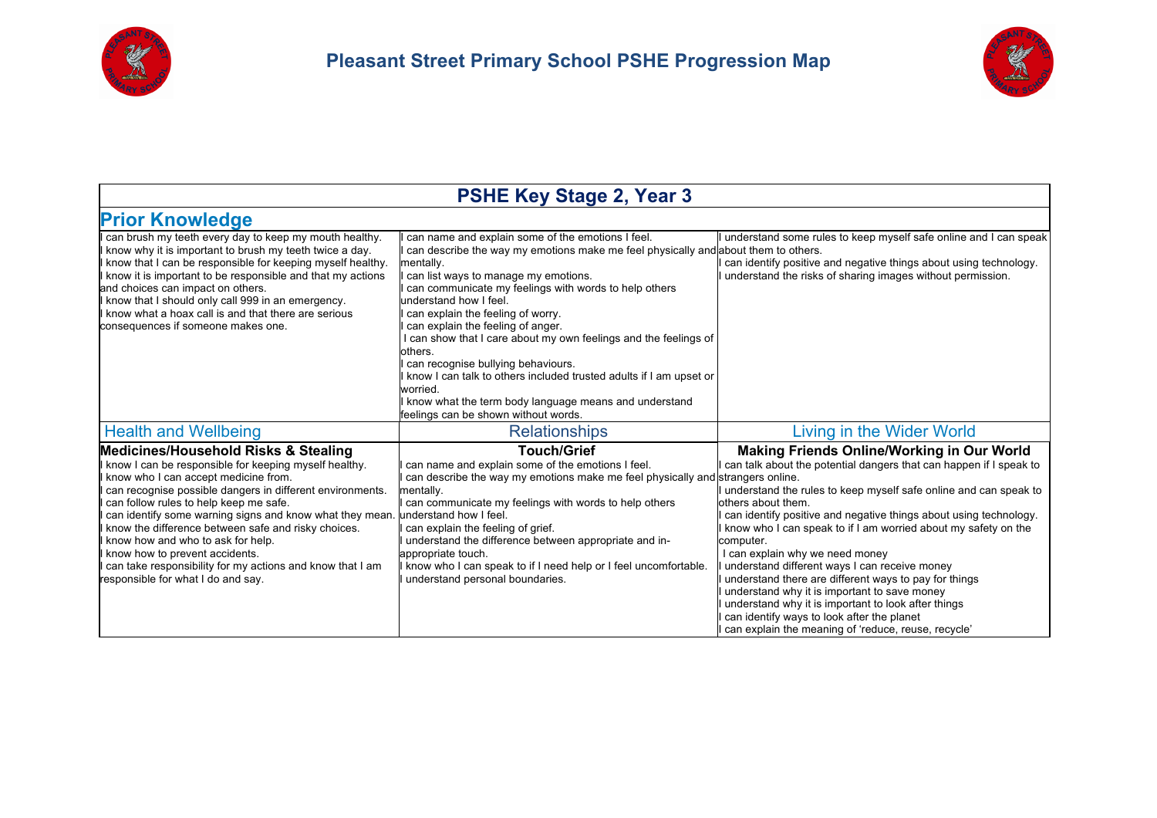



| <b>PSHE Key Stage 2, Year 3</b>                                                                                                                                                                                                                                                                                                                                                                                                                                                                                                                      |                                                                                                                                                                                                                                                                                                                                                                                                                                                                                                                                                                                                                                                                       |                                                                                                                                                                                                                                                                                                                                                                                                                                                                                                                                                                                                                                                                                                                         |
|------------------------------------------------------------------------------------------------------------------------------------------------------------------------------------------------------------------------------------------------------------------------------------------------------------------------------------------------------------------------------------------------------------------------------------------------------------------------------------------------------------------------------------------------------|-----------------------------------------------------------------------------------------------------------------------------------------------------------------------------------------------------------------------------------------------------------------------------------------------------------------------------------------------------------------------------------------------------------------------------------------------------------------------------------------------------------------------------------------------------------------------------------------------------------------------------------------------------------------------|-------------------------------------------------------------------------------------------------------------------------------------------------------------------------------------------------------------------------------------------------------------------------------------------------------------------------------------------------------------------------------------------------------------------------------------------------------------------------------------------------------------------------------------------------------------------------------------------------------------------------------------------------------------------------------------------------------------------------|
| <b>Prior Knowledge</b>                                                                                                                                                                                                                                                                                                                                                                                                                                                                                                                               |                                                                                                                                                                                                                                                                                                                                                                                                                                                                                                                                                                                                                                                                       |                                                                                                                                                                                                                                                                                                                                                                                                                                                                                                                                                                                                                                                                                                                         |
| can brush my teeth every day to keep my mouth healthy.<br>know why it is important to brush my teeth twice a day.<br>know that I can be responsible for keeping myself healthy.<br>know it is important to be responsible and that my actions<br>and choices can impact on others.<br>know that I should only call 999 in an emergency.<br>know what a hoax call is and that there are serious<br>consequences if someone makes one.                                                                                                                 | can name and explain some of the emotions I feel.<br>can describe the way my emotions make me feel physically and about them to others.<br>mentally.<br>can list ways to manage my emotions.<br>can communicate my feelings with words to help others<br>understand how I feel.<br>can explain the feeling of worry.<br>can explain the feeling of anger.<br>I can show that I care about my own feelings and the feelings of<br>others.<br>can recognise bullying behaviours.<br>I know I can talk to others included trusted adults if I am upset or<br>worried.<br>I know what the term body language means and understand<br>feelings can be shown without words. | understand some rules to keep myself safe online and I can speak<br>can identify positive and negative things about using technology.<br>understand the risks of sharing images without permission.                                                                                                                                                                                                                                                                                                                                                                                                                                                                                                                     |
| <b>Health and Wellbeing</b>                                                                                                                                                                                                                                                                                                                                                                                                                                                                                                                          | <b>Relationships</b>                                                                                                                                                                                                                                                                                                                                                                                                                                                                                                                                                                                                                                                  | Living in the Wider World                                                                                                                                                                                                                                                                                                                                                                                                                                                                                                                                                                                                                                                                                               |
| <b>Medicines/Household Risks &amp; Stealing</b><br>know I can be responsible for keeping myself healthy.<br>know who I can accept medicine from.<br>can recognise possible dangers in different environments.<br>can follow rules to help keep me safe.<br>can identify some warning signs and know what they mean.<br>know the difference between safe and risky choices.<br>know how and who to ask for help.<br>know how to prevent accidents.<br>can take responsibility for my actions and know that I am<br>responsible for what I do and say. | <b>Touch/Grief</b><br>can name and explain some of the emotions I feel.<br>can describe the way my emotions make me feel physically and strangers online.<br>mentally.<br>can communicate my feelings with words to help others<br>understand how I feel.<br>can explain the feeling of grief.<br>understand the difference between appropriate and in-<br>appropriate touch.<br>know who I can speak to if I need help or I feel uncomfortable.<br>understand personal boundaries.                                                                                                                                                                                   | Making Friends Online/Working in Our World<br>can talk about the potential dangers that can happen if I speak to<br>understand the rules to keep myself safe online and can speak to<br>others about them.<br>can identify positive and negative things about using technology.<br>know who I can speak to if I am worried about my safety on the<br>computer.<br>I can explain why we need money<br>understand different ways I can receive money<br>understand there are different ways to pay for things<br>understand why it is important to save money<br>understand why it is important to look after things<br>can identify ways to look after the planet<br>can explain the meaning of 'reduce, reuse, recycle' |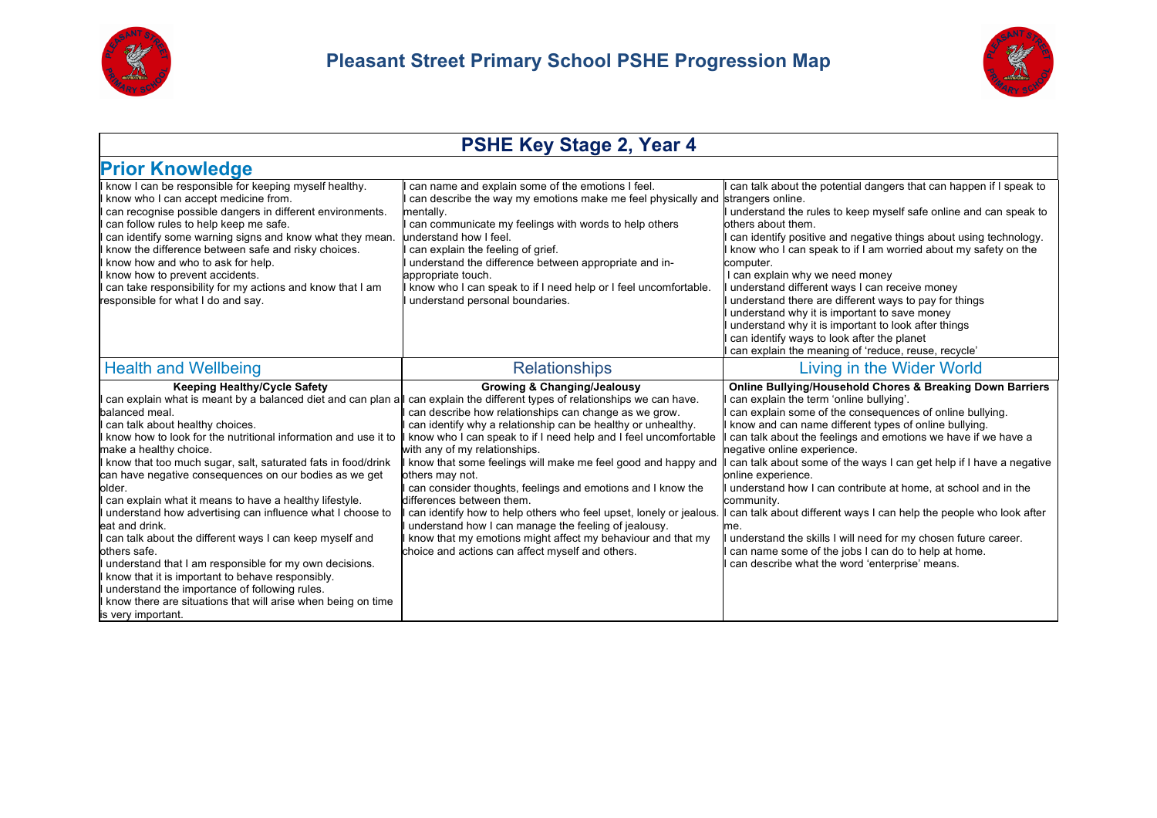



## **PSHE Key Stage 2, Year 4**

| <b>Prior Knowledge</b>                                                                                                                                                                                                                                                                                                                                                                                                                                                                                                                                                                                                                                                                                                                                                                            |                                                                                                                                                                                                                                                                                                                                                                                                                                                                                                                                                                                                                                                                                                                                                                                                                                      |                                                                                                                                                                                                                                                                                                                                                                                                                                                                                                                                                                                                                                                                                                                                                                |
|---------------------------------------------------------------------------------------------------------------------------------------------------------------------------------------------------------------------------------------------------------------------------------------------------------------------------------------------------------------------------------------------------------------------------------------------------------------------------------------------------------------------------------------------------------------------------------------------------------------------------------------------------------------------------------------------------------------------------------------------------------------------------------------------------|--------------------------------------------------------------------------------------------------------------------------------------------------------------------------------------------------------------------------------------------------------------------------------------------------------------------------------------------------------------------------------------------------------------------------------------------------------------------------------------------------------------------------------------------------------------------------------------------------------------------------------------------------------------------------------------------------------------------------------------------------------------------------------------------------------------------------------------|----------------------------------------------------------------------------------------------------------------------------------------------------------------------------------------------------------------------------------------------------------------------------------------------------------------------------------------------------------------------------------------------------------------------------------------------------------------------------------------------------------------------------------------------------------------------------------------------------------------------------------------------------------------------------------------------------------------------------------------------------------------|
| know I can be responsible for keeping myself healthy.<br>know who I can accept medicine from.<br>can recognise possible dangers in different environments.<br>can follow rules to help keep me safe.<br>can identify some warning signs and know what they mean.<br>know the difference between safe and risky choices.<br>know how and who to ask for help.<br>know how to prevent accidents.<br>can take responsibility for my actions and know that I am<br>responsible for what I do and say.                                                                                                                                                                                                                                                                                                 | can name and explain some of the emotions I feel.<br>can describe the way my emotions make me feel physically and strangers online.<br>mentally.<br>I can communicate my feelings with words to help others<br>understand how I feel.<br>can explain the feeling of grief.<br>understand the difference between appropriate and in-<br>appropriate touch.<br>know who I can speak to if I need help or I feel uncomfortable.<br>understand personal boundaries.                                                                                                                                                                                                                                                                                                                                                                      | can talk about the potential dangers that can happen if I speak to<br>understand the rules to keep myself safe online and can speak to<br>others about them.<br>can identify positive and negative things about using technology.<br>I know who I can speak to if I am worried about my safety on the<br>computer.<br>I can explain why we need money<br>understand different ways I can receive money<br>I understand there are different ways to pay for things<br>understand why it is important to save money<br>understand why it is important to look after things<br>can identify ways to look after the planet<br>can explain the meaning of 'reduce, reuse, recycle'                                                                                  |
| <b>Health and Wellbeing</b>                                                                                                                                                                                                                                                                                                                                                                                                                                                                                                                                                                                                                                                                                                                                                                       | <b>Relationships</b>                                                                                                                                                                                                                                                                                                                                                                                                                                                                                                                                                                                                                                                                                                                                                                                                                 | Living in the Wider World                                                                                                                                                                                                                                                                                                                                                                                                                                                                                                                                                                                                                                                                                                                                      |
| <b>Keeping Healthy/Cycle Safety</b><br>balanced meal.<br>can talk about healthy choices.<br>know how to look for the nutritional information and use it to<br>make a healthy choice.<br>know that too much sugar, salt, saturated fats in food/drink<br>can have negative consequences on our bodies as we get<br>older.<br>can explain what it means to have a healthy lifestyle.<br>understand how advertising can influence what I choose to<br>eat and drink.<br>can talk about the different ways I can keep myself and<br>others safe.<br>understand that I am responsible for my own decisions.<br>know that it is important to behave responsibly.<br>understand the importance of following rules.<br>know there are situations that will arise when being on time<br>is very important. | <b>Growing &amp; Changing/Jealousy</b><br>can explain what is meant by a balanced diet and can plan all can explain the different types of relationships we can have.<br>can describe how relationships can change as we grow.<br>can identify why a relationship can be healthy or unhealthy.<br>I know who I can speak to if I need help and I feel uncomfortable<br>with any of my relationships.<br>know that some feelings will make me feel good and happy and<br>others may not.<br>can consider thoughts, feelings and emotions and I know the<br>differences between them.<br>can identify how to help others who feel upset, lonely or jealous.<br>understand how I can manage the feeling of jealousy.<br>know that my emotions might affect my behaviour and that my<br>choice and actions can affect myself and others. | Online Bullying/Household Chores & Breaking Down Barriers<br>can explain the term 'online bullying'.<br>can explain some of the consequences of online bullying.<br>know and can name different types of online bullying.<br>can talk about the feelings and emotions we have if we have a<br>negative online experience.<br>can talk about some of the ways I can get help if I have a negative<br>online experience.<br>understand how I can contribute at home, at school and in the<br>community.<br>can talk about different ways I can help the people who look after<br>lme.<br>understand the skills I will need for my chosen future career.<br>can name some of the jobs I can do to help at home.<br>can describe what the word 'enterprise' means. |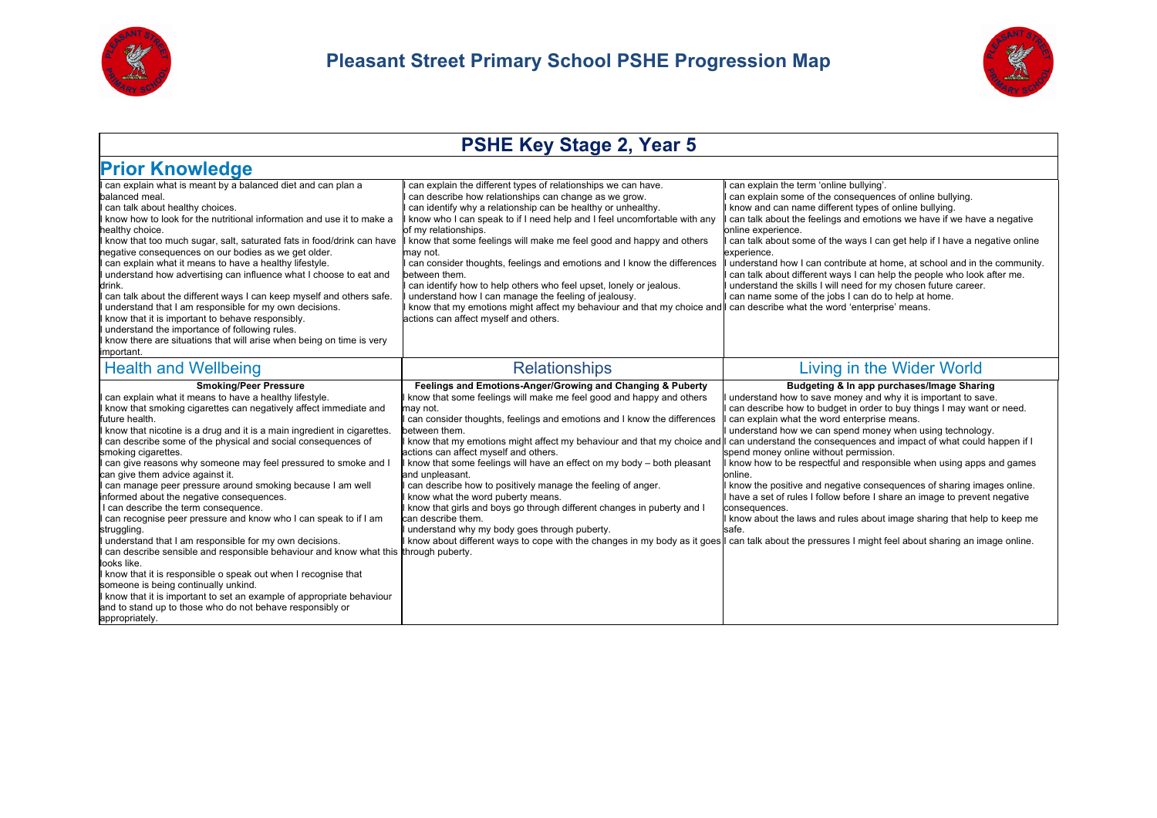



## **PSHE Key Stage 2, Year 5**

| <b>Prior Knowledge</b>                                                                                                                                                                                                                                                                                                                                                                                                                                                                                                                                                                                                                                                                                                                                                                                                                                                                                                                                                                                                                                                                                                       |                                                                                                                                                                                                                                                                                                                                                                                                                                                                                                                                                                                                                                                                                                                                                                                                                                                                                                                                                            |                                                                                                                                                                                                                                                                                                                                                                                                                                                                                                                                                                                                                                                                                                |
|------------------------------------------------------------------------------------------------------------------------------------------------------------------------------------------------------------------------------------------------------------------------------------------------------------------------------------------------------------------------------------------------------------------------------------------------------------------------------------------------------------------------------------------------------------------------------------------------------------------------------------------------------------------------------------------------------------------------------------------------------------------------------------------------------------------------------------------------------------------------------------------------------------------------------------------------------------------------------------------------------------------------------------------------------------------------------------------------------------------------------|------------------------------------------------------------------------------------------------------------------------------------------------------------------------------------------------------------------------------------------------------------------------------------------------------------------------------------------------------------------------------------------------------------------------------------------------------------------------------------------------------------------------------------------------------------------------------------------------------------------------------------------------------------------------------------------------------------------------------------------------------------------------------------------------------------------------------------------------------------------------------------------------------------------------------------------------------------|------------------------------------------------------------------------------------------------------------------------------------------------------------------------------------------------------------------------------------------------------------------------------------------------------------------------------------------------------------------------------------------------------------------------------------------------------------------------------------------------------------------------------------------------------------------------------------------------------------------------------------------------------------------------------------------------|
| can explain what is meant by a balanced diet and can plan a<br>balanced meal.<br>can talk about healthy choices.<br>know how to look for the nutritional information and use it to make a<br>healthy choice.<br>know that too much sugar, salt, saturated fats in food/drink can have<br>negative consequences on our bodies as we get older.<br>can explain what it means to have a healthy lifestyle.<br>understand how advertising can influence what I choose to eat and<br>drink.<br>can talk about the different ways I can keep myself and others safe.<br>understand that I am responsible for my own decisions.<br>know that it is important to behave responsibly.<br>understand the importance of following rules.<br>know there are situations that will arise when being on time is very<br>important.                                                                                                                                                                                                                                                                                                          | can explain the different types of relationships we can have.<br>can describe how relationships can change as we grow.<br>can identify why a relationship can be healthy or unhealthy.<br>know who I can speak to if I need help and I feel uncomfortable with any<br>of my relationships.<br>know that some feelings will make me feel good and happy and others<br>may not.<br>can consider thoughts, feelings and emotions and I know the differences<br>between them.<br>I can identify how to help others who feel upset, lonely or jealous.<br>understand how I can manage the feeling of jealousy.<br>I know that my emotions might affect my behaviour and that my choice and I can describe what the word 'enterprise' means.<br>actions can affect myself and others.                                                                                                                                                                            | can explain the term 'online bullying'.<br>can explain some of the consequences of online bullying.<br>know and can name different types of online bullying.<br>can talk about the feelings and emotions we have if we have a negative<br>online experience.<br>can talk about some of the ways I can get help if I have a negative online<br>experience.<br>I understand how I can contribute at home, at school and in the community.<br>can talk about different ways I can help the people who look after me.<br>understand the skills I will need for my chosen future career.<br>can name some of the jobs I can do to help at home.                                                     |
| <b>Health and Wellbeing</b>                                                                                                                                                                                                                                                                                                                                                                                                                                                                                                                                                                                                                                                                                                                                                                                                                                                                                                                                                                                                                                                                                                  | <b>Relationships</b>                                                                                                                                                                                                                                                                                                                                                                                                                                                                                                                                                                                                                                                                                                                                                                                                                                                                                                                                       | Living in the Wider World                                                                                                                                                                                                                                                                                                                                                                                                                                                                                                                                                                                                                                                                      |
| <b>Smoking/Peer Pressure</b><br>can explain what it means to have a healthy lifestyle.<br>know that smoking cigarettes can negatively affect immediate and<br>future health.<br>know that nicotine is a drug and it is a main ingredient in cigarettes.<br>can describe some of the physical and social consequences of<br>smoking cigarettes.<br>can give reasons why someone may feel pressured to smoke and I<br>can give them advice against it.<br>can manage peer pressure around smoking because I am well<br>informed about the negative consequences.<br>I can describe the term consequence.<br>can recognise peer pressure and know who I can speak to if I am<br>struggling.<br>understand that I am responsible for my own decisions.<br>can describe sensible and responsible behaviour and know what this through puberty.<br>looks like.<br>I know that it is responsible o speak out when I recognise that<br>someone is being continually unkind.<br>I know that it is important to set an example of appropriate behaviour<br>and to stand up to those who do not behave responsibly or<br>appropriately. | Feelings and Emotions-Anger/Growing and Changing & Puberty<br>know that some feelings will make me feel good and happy and others<br>may not.<br>I can consider thoughts, feelings and emotions and I know the differences<br>between them.<br>I know that my emotions might affect my behaviour and that my choice and  I can understand the consequences and impact of what could happen if I<br>actions can affect myself and others.<br>I know that some feelings will have an effect on my body - both pleasant<br>and unpleasant.<br>I can describe how to positively manage the feeling of anger.<br>I know what the word puberty means.<br>I know that girls and boys go through different changes in puberty and I<br>can describe them.<br>understand why my body goes through puberty.<br>I know about different ways to cope with the changes in my body as it goes l can talk about the pressures I might feel about sharing an image online. | Budgeting & In app purchases/Image Sharing<br>understand how to save money and why it is important to save.<br>I can describe how to budget in order to buy things I may want or need.<br>can explain what the word enterprise means.<br>understand how we can spend money when using technology.<br>spend money online without permission.<br>I know how to be respectful and responsible when using apps and games<br>online.<br>I know the positive and negative consequences of sharing images online.<br>I have a set of rules I follow before I share an image to prevent negative<br>consequences.<br>I know about the laws and rules about image sharing that help to keep me<br>safe. |